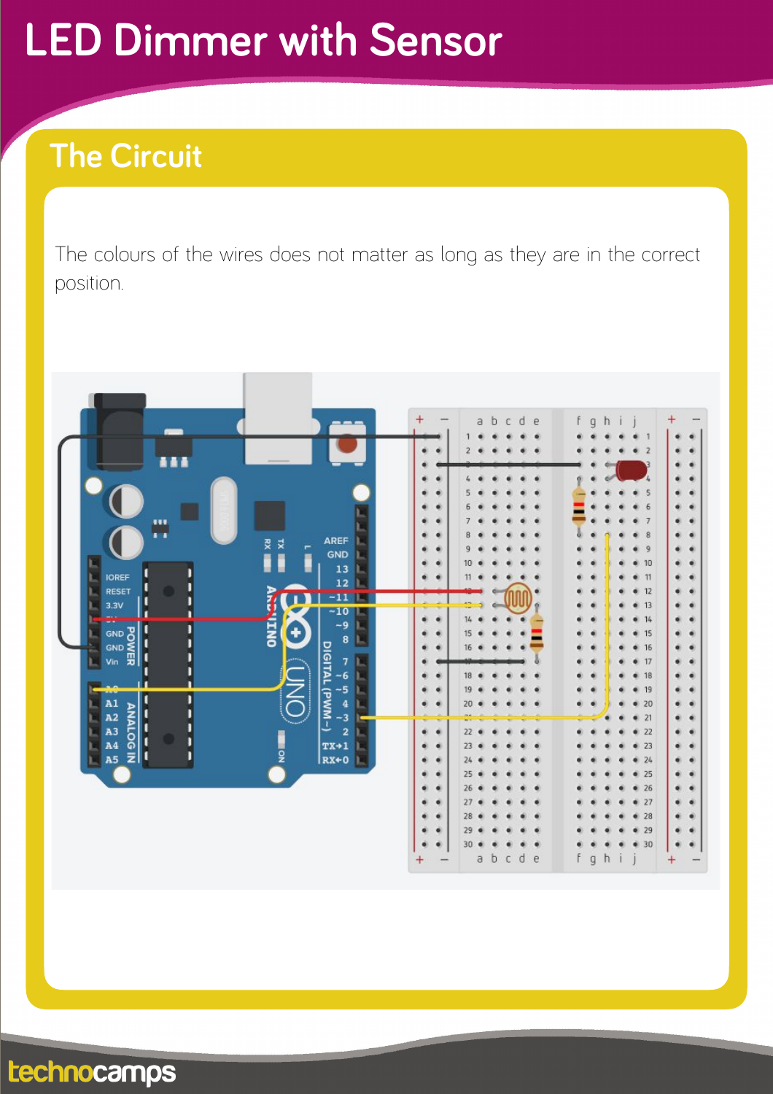# **LED Dimmer with Sensor**

### **The Circuit**

The colours of the wires does not matter as long as they are in the correct position.

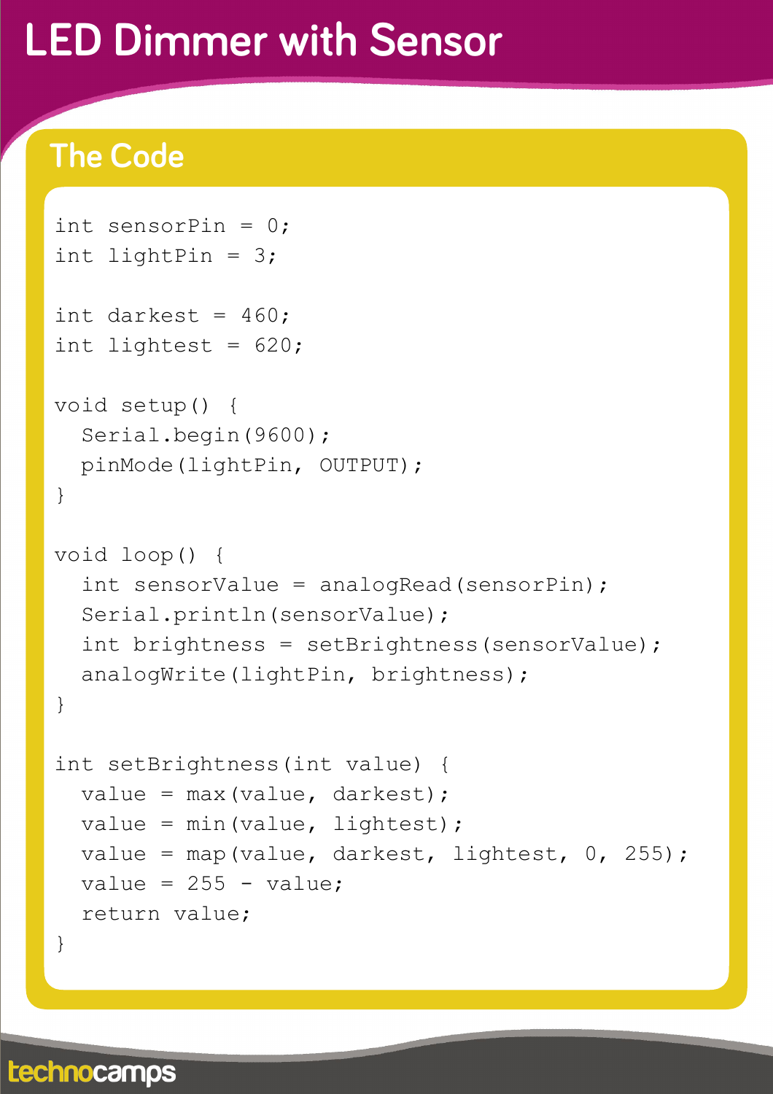### **LED Dimmer with Sensor**

#### **The Code**

```
int sensorPin = 0;
int lightPin = 3;
int darkest = 460:
int lightest = 620;
void setup() { 
   Serial.begin(9600); 
   pinMode(lightPin, OUTPUT); 
} 
void loop() { 
  int sensorValue = analogRead(sensorPin);
   Serial.println(sensorValue); 
   int brightness = setBrightness(sensorValue); 
  analogWrite(lightPin, brightness);
} 
int setBrightness(int value) { 
   value = max(value, darkest); 
  value = min(value, lightest);value = map(value, darkest, lightest, 0, 255);
  value = 255 - value;
   return value; 
}
```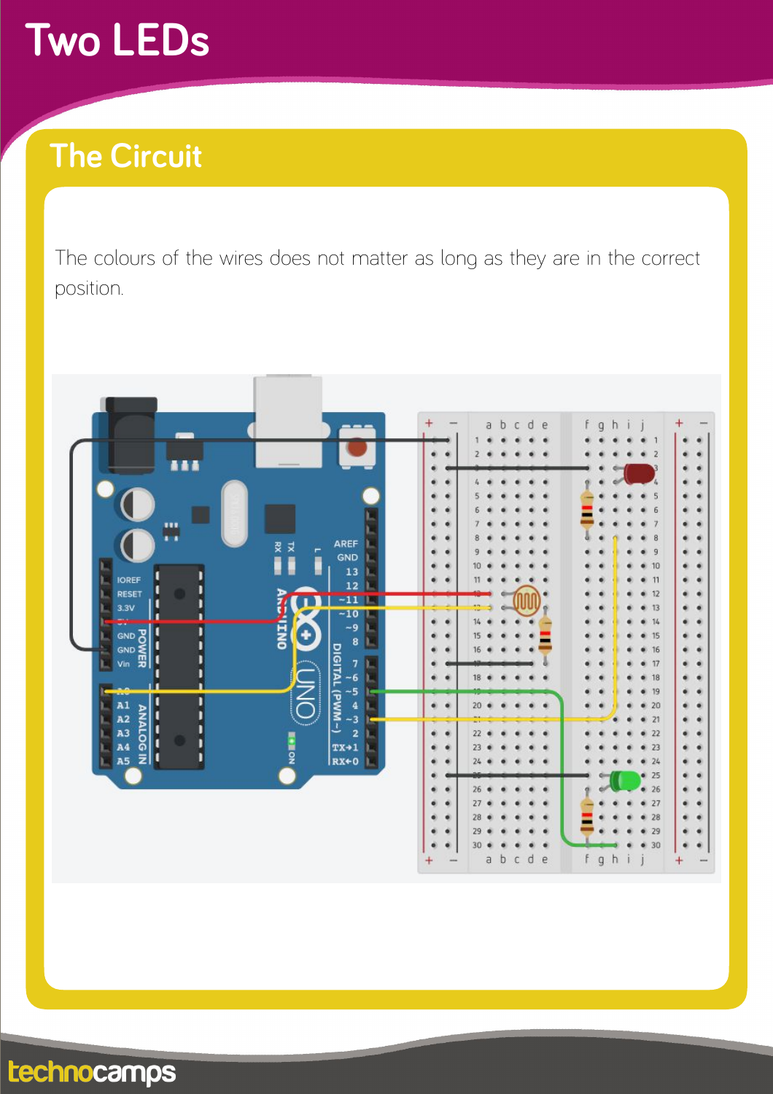# **Two LEDs**

### **The Circuit**

The colours of the wires does not matter as long as they are in the correct position.



#### technocamps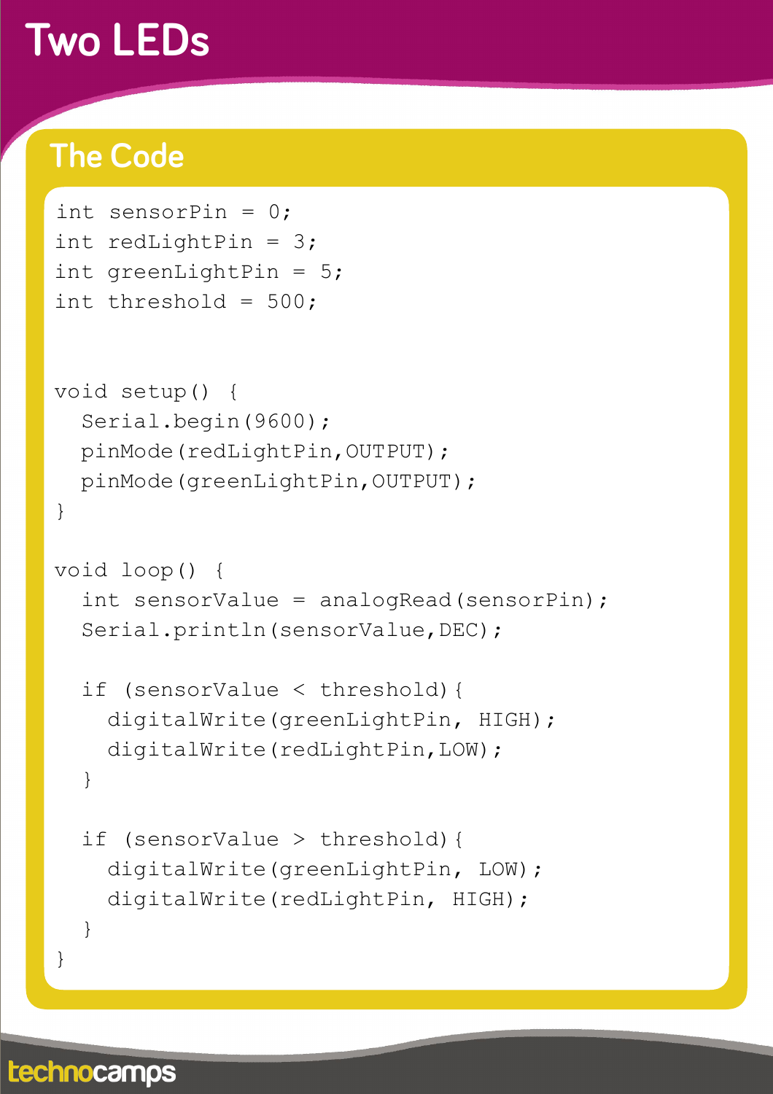## **Two LEDs**

#### **The Code**

```
int sensorPin = 0;
int redLightPin = 3;
int greenLightPin = 5; 
int threshold = 500;
void setup() { 
   Serial.begin(9600); 
   pinMode(redLightPin,OUTPUT); 
   pinMode(greenLightPin,OUTPUT); 
} 
void loop() { 
  int sensorValue = analogRead(sensorPin);
  Serial.println(sensorValue, DEC);
   if (sensorValue < threshold){ 
     digitalWrite(greenLightPin, HIGH); 
     digitalWrite(redLightPin,LOW); 
   } 
   if (sensorValue > threshold){ 
     digitalWrite(greenLightPin, LOW); 
     digitalWrite(redLightPin, HIGH); 
   } 
}
```
technocamps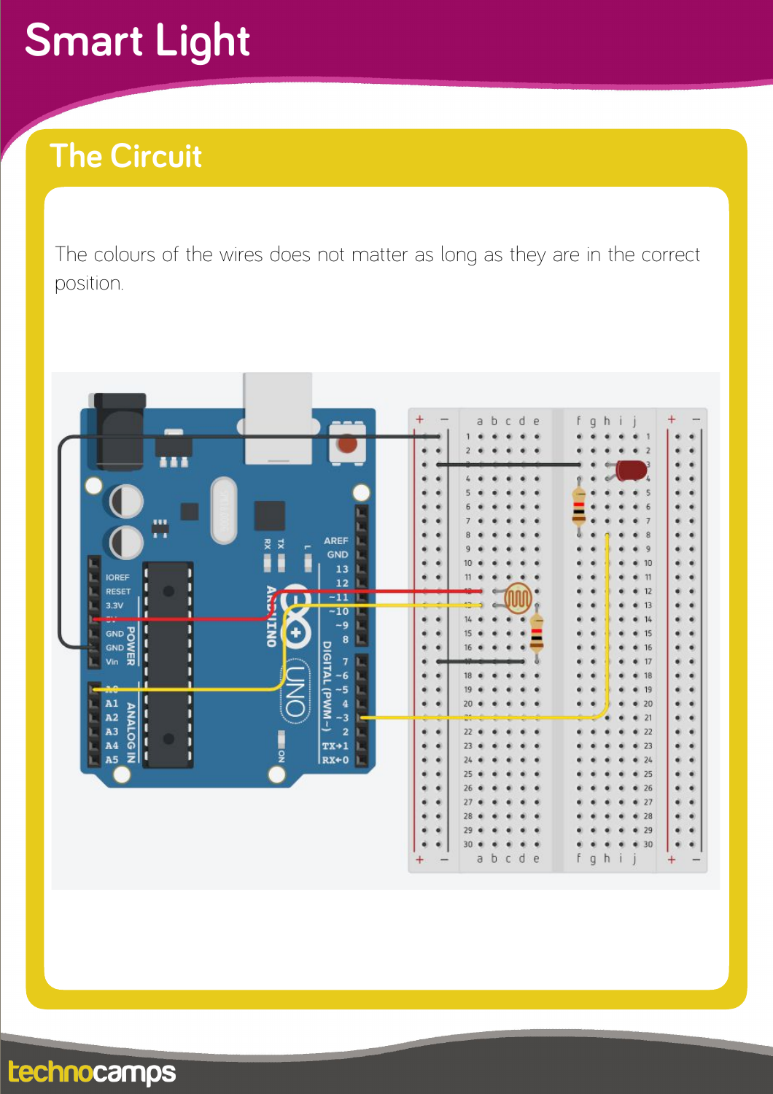# **Smart Light**

### **The Circuit**

The colours of the wires does not matter as long as they are in the correct position.

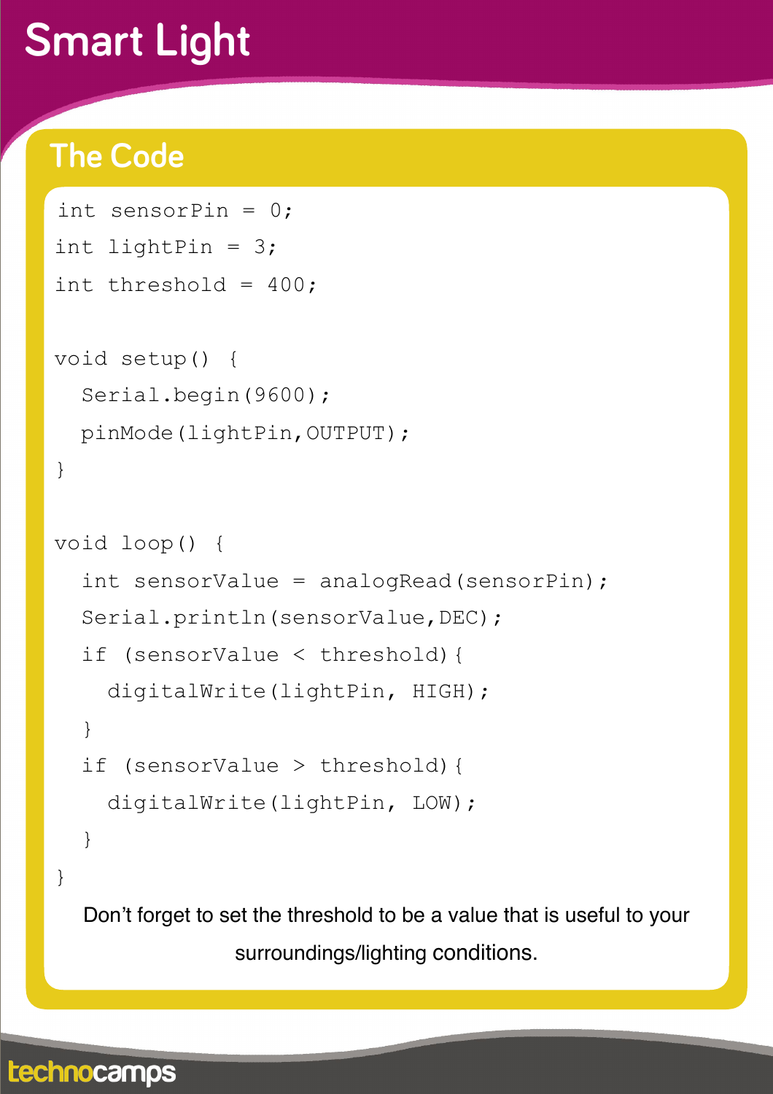# **Smart Light**

#### **The Code**

technocamps

```
int sensorPin = 0;
int lightPin = 3; 
int threshold = 400;
void setup() { 
   Serial.begin(9600); 
   pinMode(lightPin,OUTPUT); 
} 
void loop() { 
  int sensorValue = analogRead(sensorPin);
  Serial.println(sensorValue, DEC);
   if (sensorValue < threshold){ 
    digitalWrite(lightPin, HIGH);
   } 
   if (sensorValue > threshold){ 
     digitalWrite(lightPin, LOW); 
   } 
}
```
Don't forget to set the threshold to be a value that is useful to your surroundings/lighting conditions.